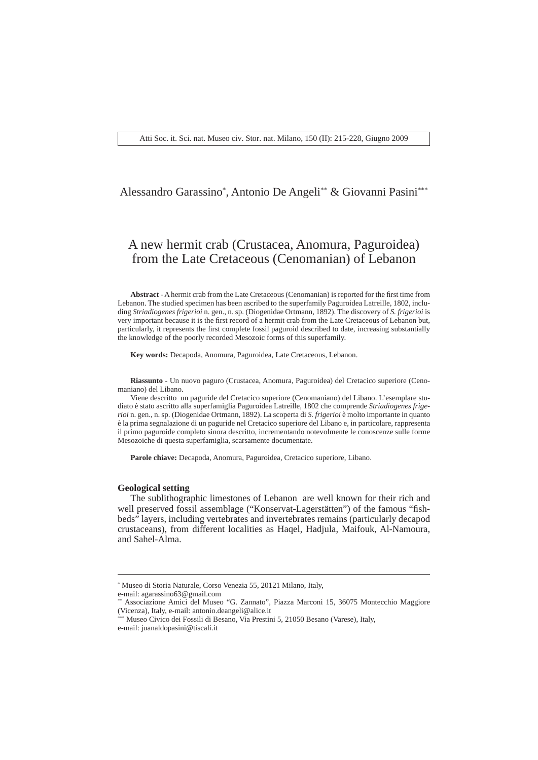## Alessandro Garassino\* , Antonio De Angeli\*\* & Giovanni Pasini\*\*\*

# A new hermit crab (Crustacea, Anomura, Paguroidea) from the Late Cretaceous (Cenomanian) of Lebanon

Abstract - A hermit crab from the Late Cretaceous (Cenomanian) is reported for the first time from Lebanon. The studied specimen has been ascribed to the superfamily Paguroidea Latreille, 1802, including *Striadiogenes frigerioi* n. gen., n. sp. (Diogenidae Ortmann, 1892). The discovery of *S. frigerioi* is very important because it is the first record of a hermit crab from the Late Cretaceous of Lebanon but, particularly, it represents the first complete fossil paguroid described to date, increasing substantially the knowledge of the poorly recorded Mesozoic forms of this superfamily.

**Key words:** Decapoda, Anomura, Paguroidea, Late Cretaceous, Lebanon.

**Riassunto** - Un nuovo paguro (Crustacea, Anomura, Paguroidea) del Cretacico superiore (Cenomaniano) del Libano.

Viene descritto un paguride del Cretacico superiore (Cenomaniano) del Libano. L'esemplare studiato è stato ascritto alla superfamiglia Paguroidea Latreille, 1802 che comprende *Striadiogenes frigerioi* n. gen., n. sp. (Diogenidae Ortmann, 1892). La scoperta di *S. frigerioi* è molto importante in quanto è la prima segnalazione di un paguride nel Cretacico superiore del Libano e, in particolare, rappresenta il primo paguroide completo sinora descritto, incrementando notevolmente le conoscenze sulle forme Mesozoiche di questa superfamiglia, scarsamente documentate.

**Parole chiave:** Decapoda, Anomura, Paguroidea, Cretacico superiore, Libano.

## **Geological setting**

The sublithographic limestones of Lebanon are well known for their rich and well preserved fossil assemblage ("Konservat-Lagerstätten") of the famous "fishbeds" layers, including vertebrates and invertebrates remains (particularly decapod crustaceans), from different localities as Haqel, Hadjula, Maifouk, Al-Namoura, and Sahel-Alma.

<sup>\*</sup> Museo di Storia Naturale, Corso Venezia 55, 20121 Milano, Italy,

e-mail: agarassino63@gmail.com

<sup>\*\*</sup> Associazione Amici del Museo "G. Zannato", Piazza Marconi 15, 36075 Montecchio Maggiore (Vicenza), Italy, e-mail: antonio.deangeli@alice.it

<sup>\*</sup> Museo Civico dei Fossili di Besano, Via Prestini 5, 21050 Besano (Varese), Italy,

e-mail: juanaldopasini@tiscali.it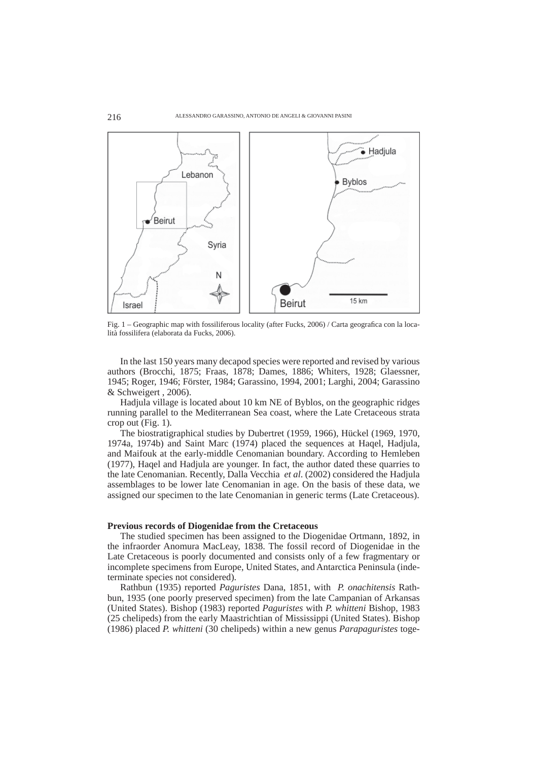

Fig. 1 – Geographic map with fossiliferous locality (after Fucks, 2006) / Carta geografica con la località fossilifera (elaborata da Fucks, 2006).

In the last 150 years many decapod species were reported and revised by various authors (Brocchi, 1875; Fraas, 1878; Dames, 1886; Whiters, 1928; Glaessner, 1945; Roger, 1946; Förster, 1984; Garassino, 1994, 2001; Larghi, 2004; Garassino & Schweigert , 2006).

Hadjula village is located about 10 km NE of Byblos, on the geographic ridges running parallel to the Mediterranean Sea coast, where the Late Cretaceous strata crop out (Fig. 1).

The biostratigraphical studies by Dubertret (1959, 1966), Hückel (1969, 1970, 1974a, 1974b) and Saint Marc (1974) placed the sequences at Haqel, Hadjula, and Maifouk at the early-middle Cenomanian boundary. According to Hemleben (1977), Haqel and Hadjula are younger. In fact, the author dated these quarries to the late Cenomanian. Recently, Dalla Vecchia *et al*. (2002) considered the Hadjula assemblages to be lower late Cenomanian in age. On the basis of these data, we assigned our specimen to the late Cenomanian in generic terms (Late Cretaceous).

## **Previous records of Diogenidae from the Cretaceous**

The studied specimen has been assigned to the Diogenidae Ortmann, 1892, in the infraorder Anomura MacLeay, 1838. The fossil record of Diogenidae in the Late Cretaceous is poorly documented and consists only of a few fragmentary or incomplete specimens from Europe, United States, and Antarctica Peninsula (indeterminate species not considered).

Rathbun (1935) reported *Paguristes* Dana, 1851, with *P. onachitensis* Rathbun, 1935 (one poorly preserved specimen) from the late Campanian of Arkansas (United States). Bishop (1983) reported *Paguristes* with *P. whitteni* Bishop, 1983 (25 chelipeds) from the early Maastrichtian of Mississippi (United States). Bishop (1986) placed *P. whitteni* (30 chelipeds) within a new genus *Parapaguristes* toge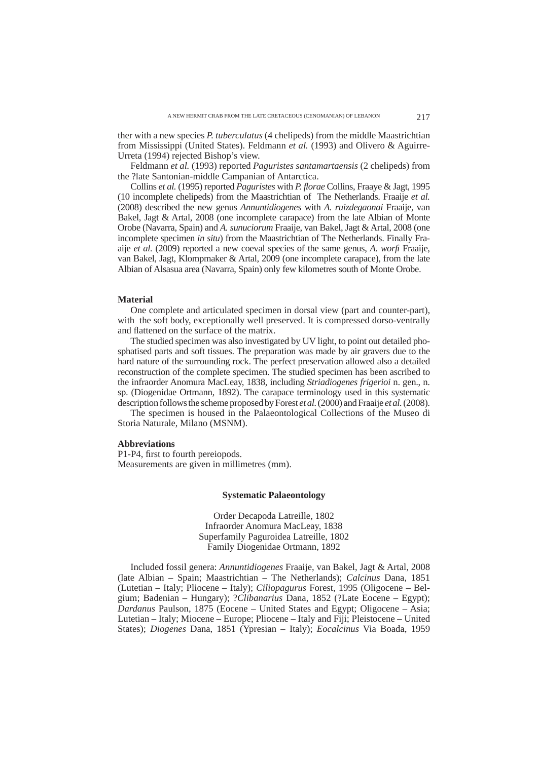ther with a new species *P. tuberculatus* (4 chelipeds) from the middle Maastrichtian from Mississippi (United States). Feldmann *et al.* (1993) and Olivero & Aguirre-Urreta (1994) rejected Bishop's view.

Feldmann *et al.* (1993) reported *Paguristes santamartaensis* (2 chelipeds) from the ?late Santonian-middle Campanian of Antarctica.

Collins *et al.* (1995) reported *Paguristes* with *P. fl orae* Collins, Fraaye & Jagt, 1995 (10 incomplete chelipeds) from the Maastrichtian of The Netherlands. Fraaije *et al.* (2008) described the new genus *Annuntidiogenes* with *A. ruizdegaonai* Fraaije, van Bakel, Jagt & Artal, 2008 (one incomplete carapace) from the late Albian of Monte Orobe (Navarra, Spain) and *A. sunuciorum* Fraaije, van Bakel, Jagt & Artal, 2008 (one incomplete specimen *in situ*) from the Maastrichtian of The Netherlands. Finally Fraaije *et al.* (2009) reported a new coeval species of the same genus, *A. worfi* Fraaije, van Bakel, Jagt, Klompmaker & Artal, 2009 (one incomplete carapace), from the late Albian of Alsasua area (Navarra, Spain) only few kilometres south of Monte Orobe.

## **Material**

One complete and articulated specimen in dorsal view (part and counter-part), with the soft body, exceptionally well preserved. It is compressed dorso-ventrally and flattened on the surface of the matrix.

The studied specimen was also investigated by UV light, to point out detailed phosphatised parts and soft tissues. The preparation was made by air gravers due to the hard nature of the surrounding rock. The perfect preservation allowed also a detailed reconstruction of the complete specimen. The studied specimen has been ascribed to the infraorder Anomura MacLeay, 1838, including *Striadiogenes frigerioi* n. gen., n. sp. (Diogenidae Ortmann, 1892). The carapace terminology used in this systematic description follows the scheme proposed by Forest *et al.* (2000) and Fraaije *et al.* (2008).

The specimen is housed in the Palaeontological Collections of the Museo di Storia Naturale, Milano (MSNM).

## **Abbreviations**

P1-P4, first to fourth pereiopods. Measurements are given in millimetres (mm).

## **Systematic Palaeontology**

Order Decapoda Latreille, 1802 Infraorder Anomura MacLeay, 1838 Superfamily Paguroidea Latreille, 1802 Family Diogenidae Ortmann, 1892

Included fossil genera: *Annuntidiogenes* Fraaije, van Bakel, Jagt & Artal, 2008 (late Albian – Spain; Maastrichtian – The Netherlands); *Calcinus* Dana, 1851 (Lutetian – Italy; Pliocene – Italy); *Ciliopagurus* Forest, 1995 (Oligocene – Belgium; Badenian – Hungary); ?*Clibanarius* Dana, 1852 (?Late Eocene – Egypt); *Dardanus* Paulson, 1875 (Eocene – United States and Egypt; Oligocene – Asia; Lutetian – Italy; Miocene – Europe; Pliocene – Italy and Fiji; Pleistocene – United States); *Diogenes* Dana, 1851 (Ypresian – Italy); *Eocalcinus* Via Boada, 1959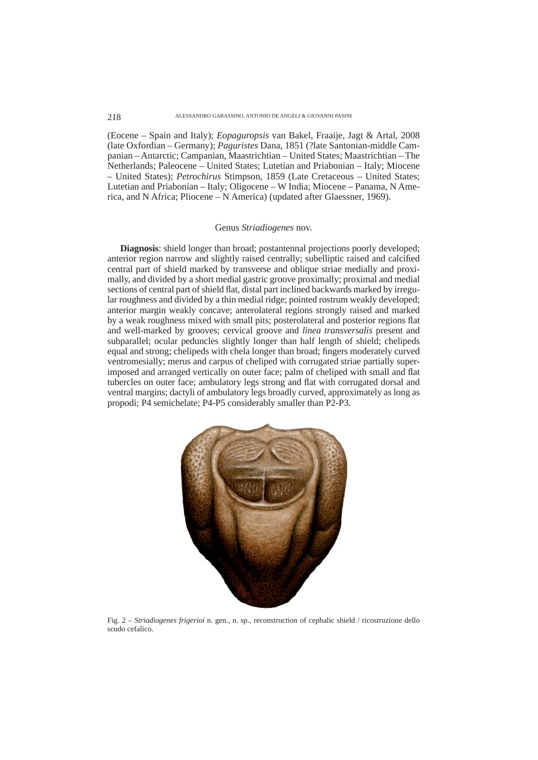#### ALESSANDRO GARASSINO, ANTONIO DE ANGELI & GIOVANNI PASINI

218

(Eocene – Spain and Italy); *Eopaguropsis* van Bakel, Fraaije, Jagt & Artal, 2008 (late Oxfordian – Germany); *Paguristes* Dana, 1851 (?late Santonian-middle Campanian – Antarctic; Campanian, Maastrichtian – United States; Maastrichtian – The Netherlands; Paleocene – United States; Lutetian and Priabonian – Italy; Miocene – United States); *Petrochirus* Stimpson, 1859 (Late Cretaceous – United States; Lutetian and Priabonian – Italy; Oligocene – W India; Miocene – Panama, N America, and N Africa; Pliocene – N America) (updated after Glaessner, 1969).

## Genus *Striadiogenes* nov.

**Diagnosis**: shield longer than broad; postantennal projections poorly developed; anterior region narrow and slightly raised centrally; subelliptic raised and calcified central part of shield marked by transverse and oblique striae medially and proximally, and divided by a short medial gastric groove proximally; proximal and medial sections of central part of shield flat, distal part inclined backwards marked by irregular roughness and divided by a thin medial ridge; pointed rostrum weakly developed; anterior margin weakly concave; anterolateral regions strongly raised and marked by a weak roughness mixed with small pits; posterolateral and posterior regions flat and well-marked by grooves; cervical groove and *linea transversalis* present and subparallel; ocular peduncles slightly longer than half length of shield; chelipeds equal and strong; chelipeds with chela longer than broad; fingers moderately curved ventromesially; merus and carpus of cheliped with corrugated striae partially superimposed and arranged vertically on outer face; palm of cheliped with small and flat tubercles on outer face; ambulatory legs strong and flat with corrugated dorsal and ventral margins; dactyli of ambulatory legs broadly curved, approximately as long as propodi; P4 semichelate; P4-P5 considerably smaller than P2-P3.



Fig. 2 – *Striadiogenes frigerioi* n. gen., n. sp., reconstruction of cephalic shield / ricostruzione dello scudo cefalico.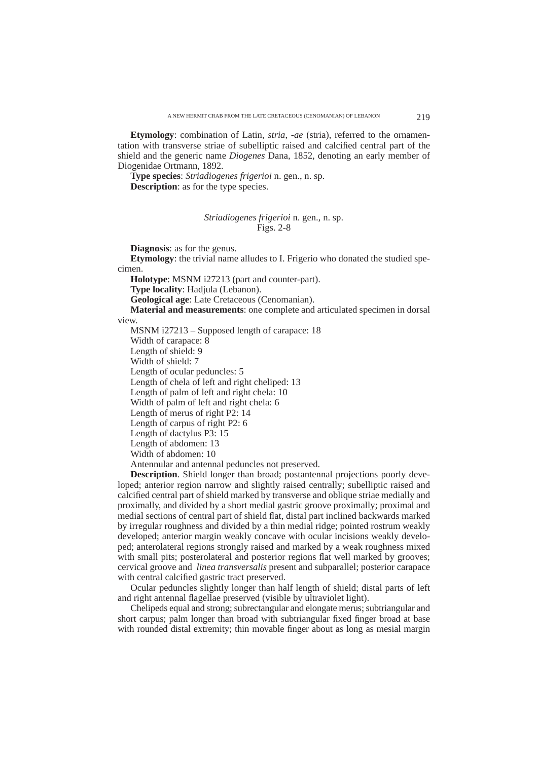**Etymology**: combination of Latin, *stria*, -*ae* (stria), referred to the ornamentation with transverse striae of subelliptic raised and calcified central part of the shield and the generic name *Diogenes* Dana, 1852, denoting an early member of Diogenidae Ortmann, 1892.

**Type species**: *Striadiogenes frigerioi* n. gen., n. sp.

**Description**: as for the type species.

## *Striadiogenes frigerioi* n. gen., n. sp. Figs. 2-8

**Diagnosis**: as for the genus.

**Etymology**: the trivial name alludes to I. Frigerio who donated the studied specimen.

**Holotype**: MSNM i27213 (part and counter-part).

**Type locality**: Hadjula (Lebanon).

**Geological age**: Late Cretaceous (Cenomanian).

**Material and measurements**: one complete and articulated specimen in dorsal view.

MSNM i27213 – Supposed length of carapace: 18

Width of carapace: 8

Length of shield: 9

Width of shield: 7

Length of ocular peduncles: 5

Length of chela of left and right cheliped: 13

Length of palm of left and right chela: 10

Width of palm of left and right chela: 6

Length of merus of right P2: 14

Length of carpus of right P2: 6

Length of dactylus P3: 15

Length of abdomen: 13

Width of abdomen: 10

Antennular and antennal peduncles not preserved.

**Description**. Shield longer than broad; postantennal projections poorly developed; anterior region narrow and slightly raised centrally; subelliptic raised and calcified central part of shield marked by transverse and oblique striae medially and proximally, and divided by a short medial gastric groove proximally; proximal and medial sections of central part of shield flat, distal part inclined backwards marked by irregular roughness and divided by a thin medial ridge; pointed rostrum weakly developed; anterior margin weakly concave with ocular incisions weakly developed; anterolateral regions strongly raised and marked by a weak roughness mixed with small pits; posterolateral and posterior regions flat well marked by grooves; cervical groove and *linea transversalis* present and subparallel; posterior carapace with central calcified gastric tract preserved.

Ocular peduncles slightly longer than half length of shield; distal parts of left and right antennal flagellae preserved (visible by ultraviolet light).

Chelipeds equal and strong; subrectangular and elongate merus; subtriangular and short carpus; palm longer than broad with subtriangular fixed finger broad at base with rounded distal extremity; thin movable finger about as long as mesial margin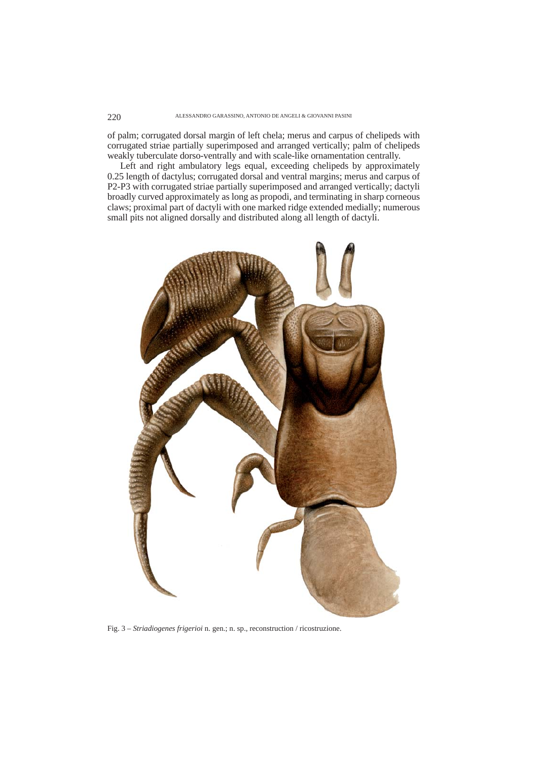of palm; corrugated dorsal margin of left chela; merus and carpus of chelipeds with corrugated striae partially superimposed and arranged vertically; palm of chelipeds weakly tuberculate dorso-ventrally and with scale-like ornamentation centrally.

Left and right ambulatory legs equal, exceeding chelipeds by approximately 0.25 length of dactylus; corrugated dorsal and ventral margins; merus and carpus of P2-P3 with corrugated striae partially superimposed and arranged vertically; dactyli broadly curved approximately as long as propodi, and terminating in sharp corneous claws; proximal part of dactyli with one marked ridge extended medially; numerous small pits not aligned dorsally and distributed along all length of dactyli.



Fig. 3 – *Striadiogenes frigerioi* n. gen.; n. sp., reconstruction / ricostruzione.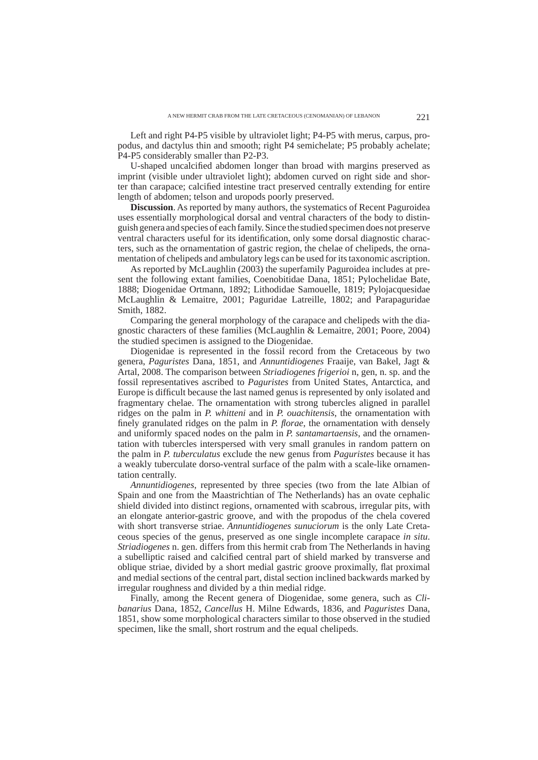Left and right P4-P5 visible by ultraviolet light; P4-P5 with merus, carpus, propodus, and dactylus thin and smooth; right P4 semichelate; P5 probably achelate; P4-P5 considerably smaller than P2-P3.

U-shaped uncalcified abdomen longer than broad with margins preserved as imprint (visible under ultraviolet light); abdomen curved on right side and shorter than carapace; calcified intestine tract preserved centrally extending for entire length of abdomen; telson and uropods poorly preserved.

**Discussion**. As reported by many authors, the systematics of Recent Paguroidea uses essentially morphological dorsal and ventral characters of the body to distinguish genera and species of each family. Since the studied specimen does not preserve ventral characters useful for its identification, only some dorsal diagnostic characters, such as the ornamentation of gastric region, the chelae of chelipeds, the ornamentation of chelipeds and ambulatory legs can be used for its taxonomic ascription.

As reported by McLaughlin (2003) the superfamily Paguroidea includes at present the following extant families, Coenobitidae Dana, 1851; Pylochelidae Bate, 1888; Diogenidae Ortmann, 1892; Lithodidae Samouelle, 1819; Pylojacquesidae McLaughlin & Lemaitre, 2001; Paguridae Latreille, 1802; and Parapaguridae Smith, 1882.

Comparing the general morphology of the carapace and chelipeds with the diagnostic characters of these families (McLaughlin & Lemaitre, 2001; Poore, 2004) the studied specimen is assigned to the Diogenidae.

Diogenidae is represented in the fossil record from the Cretaceous by two genera, *Paguristes* Dana, 1851, and *Annuntidiogenes* Fraaije, van Bakel, Jagt & Artal, 2008. The comparison between *Striadiogenes frigerioi* n, gen, n. sp. and the fossil representatives ascribed to *Paguristes* from United States, Antarctica, and Europe is difficult because the last named genus is represented by only isolated and fragmentary chelae. The ornamentation with strong tubercles aligned in parallel ridges on the palm in *P. whitteni* and in *P. ouachitensis*, the ornamentation with finely granulated ridges on the palm in *P. florae*, the ornamentation with densely and uniformly spaced nodes on the palm in *P. santamartaensis*, and the ornamentation with tubercles interspersed with very small granules in random pattern on the palm in *P. tuberculatus* exclude the new genus from *Paguristes* because it has a weakly tuberculate dorso-ventral surface of the palm with a scale-like ornamentation centrally.

*Annuntidiogenes*, represented by three species (two from the late Albian of Spain and one from the Maastrichtian of The Netherlands) has an ovate cephalic shield divided into distinct regions, ornamented with scabrous, irregular pits, with an elongate anterior-gastric groove, and with the propodus of the chela covered with short transverse striae. *Annuntidiogenes sunuciorum* is the only Late Cretaceous species of the genus, preserved as one single incomplete carapace *in situ*. *Striadiogenes* n. gen. differs from this hermit crab from The Netherlands in having a subelliptic raised and calcified central part of shield marked by transverse and oblique striae, divided by a short medial gastric groove proximally, flat proximal and medial sections of the central part, distal section inclined backwards marked by irregular roughness and divided by a thin medial ridge.

Finally, among the Recent genera of Diogenidae, some genera, such as *Clibanarius* Dana, 1852, *Cancellus* H. Milne Edwards, 1836, and *Paguristes* Dana, 1851, show some morphological characters similar to those observed in the studied specimen, like the small, short rostrum and the equal chelipeds.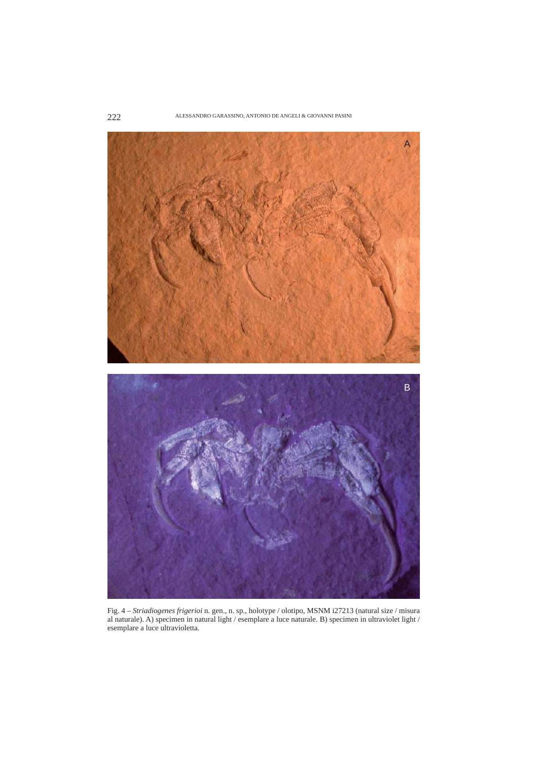

Fig. 4 – *Striadiogenes frigerioi* n. gen., n. sp., holotype / olotipo, MSNM i27213 (natural size / misura al naturale). A) specimen in natural light / esemplare a luce naturale. B) specimen in ultraviolet light / esemplare a luce ultravioletta.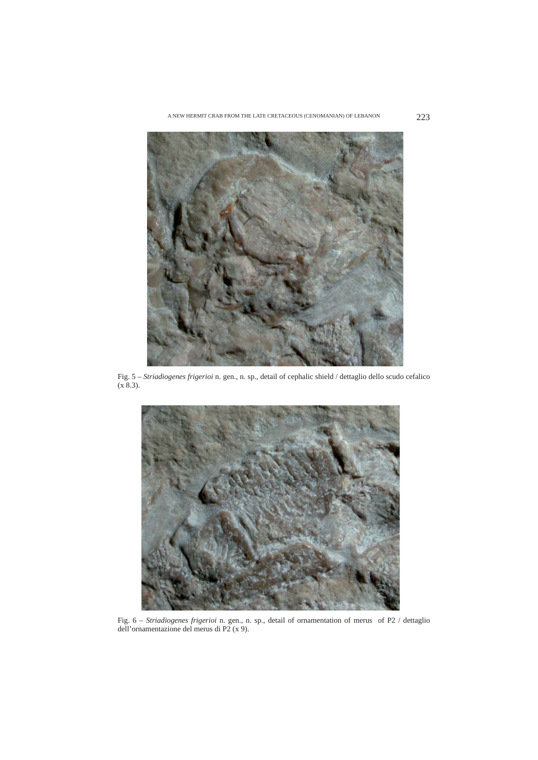

Fig. 5 – *Striadiogenes frigerioi* n. gen., n. sp., detail of cephalic shield / dettaglio dello scudo cefalico  $(x 8.3)$ .



Fig. 6 – *Striadiogenes frigerioi* n. gen., n. sp., detail of ornamentation of merus of P2 / dettaglio dell'ornamentazione del merus di P2 (x 9).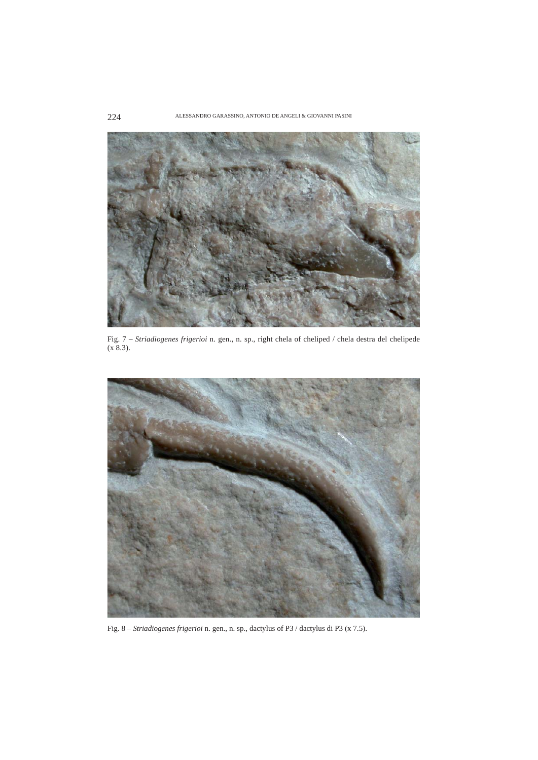

Fig. 7 – *Striadiogenes frigerioi* n. gen., n. sp., right chela of cheliped / chela destra del chelipede  $(x 8.3)$ .



Fig. 8 – *Striadiogenes frigerioi* n. gen., n. sp., dactylus of P3 / dactylus di P3 (x 7.5).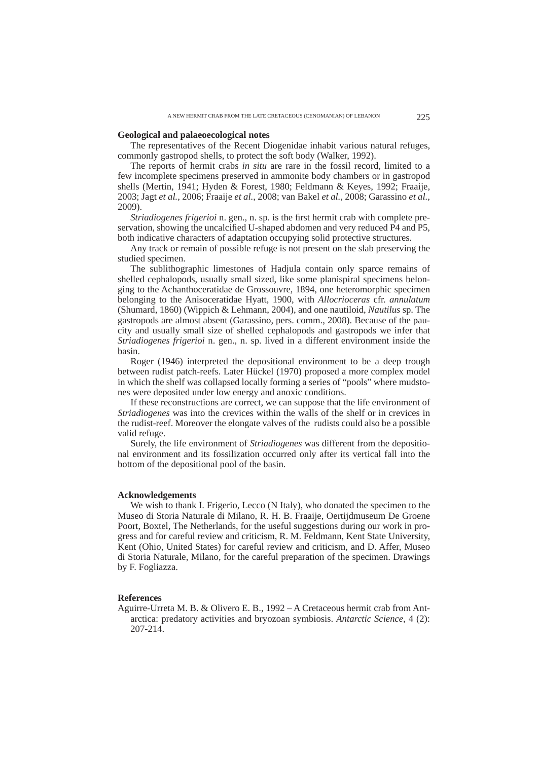## **Geological and palaeoecological notes**

The representatives of the Recent Diogenidae inhabit various natural refuges, commonly gastropod shells, to protect the soft body (Walker, 1992).

The reports of hermit crabs *in situ* are rare in the fossil record, limited to a few incomplete specimens preserved in ammonite body chambers or in gastropod shells (Mertin, 1941; Hyden & Forest, 1980; Feldmann & Keyes, 1992; Fraaije, 2003; Jagt *et al.*, 2006; Fraaije *et al.*, 2008; van Bakel *et al.*, 2008; Garassino *et al.*, 2009).

*Striadiogenes frigerioi* n. gen., n. sp. is the first hermit crab with complete preservation, showing the uncalcified U-shaped abdomen and very reduced P4 and P5, both indicative characters of adaptation occupying solid protective structures.

Any track or remain of possible refuge is not present on the slab preserving the studied specimen.

The sublithographic limestones of Hadjula contain only sparce remains of shelled cephalopods, usually small sized, like some planispiral specimens belonging to the Achanthoceratidae de Grossouvre, 1894, one heteromorphic specimen belonging to the Anisoceratidae Hyatt, 1900, with *Allocrioceras* cfr. *annulatum* (Shumard, 1860) (Wippich & Lehmann, 2004), and one nautiloid, *Nautilus* sp. The gastropods are almost absent (Garassino, pers. comm., 2008). Because of the paucity and usually small size of shelled cephalopods and gastropods we infer that *Striadiogenes frigerioi* n. gen., n. sp. lived in a different environment inside the basin.

Roger (1946) interpreted the depositional environment to be a deep trough between rudist patch-reefs. Later Hückel (1970) proposed a more complex model in which the shelf was collapsed locally forming a series of "pools" where mudstones were deposited under low energy and anoxic conditions.

If these reconstructions are correct, we can suppose that the life environment of *Striadiogenes* was into the crevices within the walls of the shelf or in crevices in the rudist-reef. Moreover the elongate valves of the rudists could also be a possible valid refuge.

Surely, the life environment of *Striadiogenes* was different from the depositional environment and its fossilization occurred only after its vertical fall into the bottom of the depositional pool of the basin.

## **Acknowledgements**

We wish to thank I. Frigerio, Lecco (N Italy), who donated the specimen to the Museo di Storia Naturale di Milano, R. H. B. Fraaije, Oertijdmuseum De Groene Poort, Boxtel, The Netherlands, for the useful suggestions during our work in progress and for careful review and criticism, R. M. Feldmann, Kent State University, Kent (Ohio, United States) for careful review and criticism, and D. Affer, Museo di Storia Naturale, Milano, for the careful preparation of the specimen. Drawings by F. Fogliazza.

## **References**

Aguirre-Urreta M. B. & Olivero E. B., 1992 – A Cretaceous hermit crab from Antarctica: predatory activities and bryozoan symbiosis. *Antarctic Science*, 4 (2): 207-214.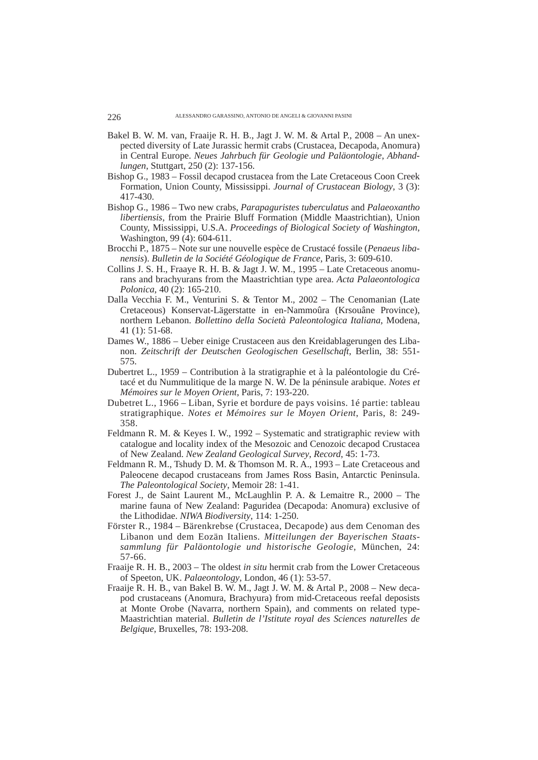- Bakel B. W. M. van, Fraaije R. H. B., Jagt J. W. M. & Artal P., 2008 An unexpected diversity of Late Jurassic hermit crabs (Crustacea, Decapoda, Anomura) in Central Europe. *Neues Jahrbuch für Geologie und Paläontologie*, *Abhandlungen*, Stuttgart, 250 (2): 137-156.
- Bishop G., 1983 Fossil decapod crustacea from the Late Cretaceous Coon Creek Formation, Union County, Mississippi. *Journal of Crustacean Biology*, 3 (3): 417-430.
- Bishop G., 1986 Two new crabs, *Parapaguristes tuberculatus* and *Palaeoxantho libertiensis*, from the Prairie Bluff Formation (Middle Maastrichtian), Union County, Mississippi, U.S.A. *Proceedings of Biological Society of Washington*, Washington, 99 (4): 604-611.
- Brocchi P., 1875 Note sur une nouvelle espèce de Crustacé fossile (*Penaeus libanensis*). *Bulletin de la Société Géologique de France*, Paris, 3: 609-610.
- Collins J. S. H., Fraaye R. H. B. & Jagt J. W. M., 1995 Late Cretaceous anomurans and brachyurans from the Maastrichtian type area. *Acta Palaeontologica Polonica*, 40 (2): 165-210.
- Dalla Vecchia F. M., Venturini S. & Tentor M., 2002 The Cenomanian (Late Cretaceous) Konservat-Lägerstatte in en-Nammoûra (Krsouâne Province), northern Lebanon. *Bollettino della Società Paleontologica Italiana*, Modena, 41 (1): 51-68.
- Dames W., 1886 Ueber einige Crustaceen aus den Kreidablagerungen des Libanon. *Zeitschrift der Deutschen Geologischen Gesellschaft*, Berlin, 38: 551- 575.
- Dubertret L., 1959 Contribution à la stratigraphie et à la paléontologie du Crétacé et du Nummulitique de la marge N. W. De la péninsule arabique. *Notes et Mémoires sur le Moyen Orient*, Paris, 7: 193-220.
- Dubetret L., 1966 Liban, Syrie et bordure de pays voisins. 1é partie: tableau stratigraphique. *Notes et Mémoires sur le Moyen Orient*, Paris, 8: 249- 358.
- Feldmann R. M. & Keyes I. W., 1992 Systematic and stratigraphic review with catalogue and locality index of the Mesozoic and Cenozoic decapod Crustacea of New Zealand. *New Zealand Geological Survey*, *Record*, 45: 1-73.
- Feldmann R. M., Tshudy D. M. & Thomson M. R. A., 1993 Late Cretaceous and Paleocene decapod crustaceans from James Ross Basin, Antarctic Peninsula. *The Paleontological Society*, Memoir 28: 1-41.
- Forest J., de Saint Laurent M., McLaughlin P. A. & Lemaitre R., 2000 The marine fauna of New Zealand: Paguridea (Decapoda: Anomura) exclusive of the Lithodidae. *NIWA Biodiversity*, 114: 1-250.
- Förster R., 1984 Bärenkrebse (Crustacea, Decapode) aus dem Cenoman des Libanon und dem Eozän Italiens. *Mitteilungen der Bayerischen Staatssammlung für Paläontologie und historische Geologie*, München, 24: 57-66.
- Fraaije R. H. B., 2003 The oldest *in situ* hermit crab from the Lower Cretaceous of Speeton, UK. *Palaeontology*, London, 46 (1): 53-57.
- Fraaije R. H. B., van Bakel B. W. M., Jagt J. W. M. & Artal P., 2008 New decapod crustaceans (Anomura, Brachyura) from mid-Cretaceous reefal deposists at Monte Orobe (Navarra, northern Spain), and comments on related type-Maastrichtian material. *Bulletin de l'Istitute royal des Sciences naturelles de Belgique*, Bruxelles, 78: 193-208.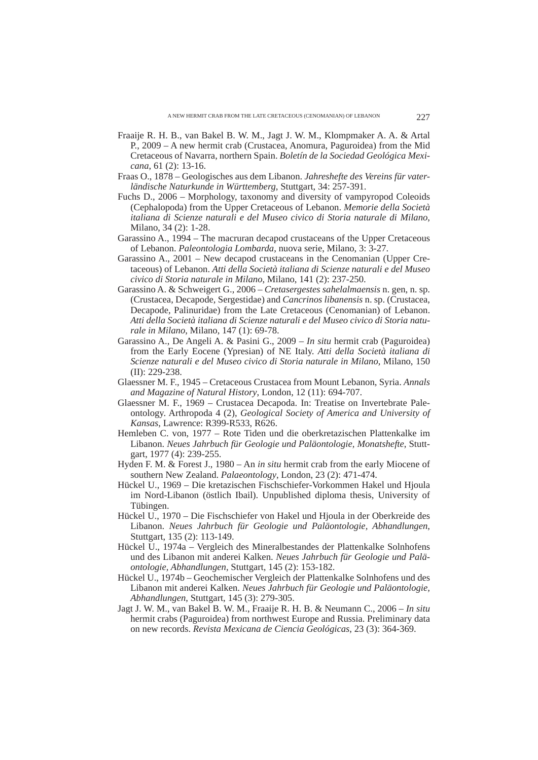- Fraaije R. H. B., van Bakel B. W. M., Jagt J. W. M., Klompmaker A. A. & Artal P., 2009 – A new hermit crab (Crustacea, Anomura, Paguroidea) from the Mid Cretaceous of Navarra, northern Spain. *Boletín de la Sociedad Geológica Mexicana*, 61 (2): 13-16.
- Fraas O., 1878 Geologisches aus dem Libanon. *Jahreshefte des Vereins für vaterländische Naturkunde in Württemberg*, Stuttgart, 34: 257-391.
- Fuchs D., 2006 Morphology, taxonomy and diversity of vampyropod Coleoids (Cephalopoda) from the Upper Cretaceous of Lebanon. *Memorie della Società italiana di Scienze naturali e del Museo civico di Storia naturale di Milano*, Milano, 34 (2): 1-28.
- Garassino A., 1994 The macruran decapod crustaceans of the Upper Cretaceous of Lebanon. *Paleontologia Lombarda*, nuova serie, Milano, 3: 3-27.
- Garassino A., 2001 New decapod crustaceans in the Cenomanian (Upper Cretaceous) of Lebanon. *Atti della Società italiana di Scienze naturali e del Museo civico di Storia naturale in Milano*, Milano, 141 (2): 237-250.
- Garassino A. & Schweigert G., 2006 *Cretasergestes sahelalmaensis* n. gen, n. sp. (Crustacea, Decapode, Sergestidae) and *Cancrinos libanensis* n. sp. (Crustacea, Decapode, Palinuridae) from the Late Cretaceous (Cenomanian) of Lebanon. *Atti della Società italiana di Scienze naturali e del Museo civico di Storia naturale in Milano*, Milano, 147 (1): 69-78.
- Garassino A., De Angeli A. & Pasini G., 2009 *In situ* hermit crab (Paguroidea) from the Early Eocene (Ypresian) of NE Italy. *Atti della Società italiana di Scienze naturali e del Museo civico di Storia naturale in Milano*, Milano, 150 (II): 229-238.
- Glaessner M. F., 1945 Cretaceous Crustacea from Mount Lebanon, Syria. *Annals and Magazine of Natural History*, London, 12 (11): 694-707.
- Glaessner M. F., 1969 Crustacea Decapoda. In: Treatise on Invertebrate Paleontology. Arthropoda 4 (2), *Geological Society of America and University of Kansas*, Lawrence: R399-R533, R626.
- Hemleben C. von, 1977 Rote Tiden und die oberkretazischen Plattenkalke im Libanon. *Neues Jahrbuch für Geologie und Paläontologie, Monatshefte*, Stuttgart, 1977 (4): 239-255.
- Hyden F. M. & Forest J., 1980 An *in situ* hermit crab from the early Miocene of southern New Zealand. *Palaeontology*, London, 23 (2): 471-474.
- Hückel U., 1969 Die kretazischen Fischschiefer-Vorkommen Hakel und Hjoula im Nord-Libanon (östlich Ibail). Unpublished diploma thesis, University of Tübingen.
- Hückel U., 1970 Die Fischschiefer von Hakel und Hjoula in der Oberkreide des Libanon. *Neues Jahrbuch für Geologie und Paläontologie, Abhandlungen*, Stuttgart, 135 (2): 113-149.
- Hückel U., 1974a Vergleich des Mineralbestandes der Plattenkalke Solnhofens und des Libanon mit anderei Kalken. *Neues Jahrbuch für Geologie und Paläontologie, Abhandlungen*, Stuttgart, 145 (2): 153-182.
- Hückel U., 1974b Geochemischer Vergleich der Plattenkalke Solnhofens und des Libanon mit anderei Kalken. *Neues Jahrbuch für Geologie und Paläontologie, Abhandlungen*, Stuttgart, 145 (3): 279-305.
- Jagt J. W. M., van Bakel B. W. M., Fraaije R. H. B. & Neumann C., 2006 *In situ* hermit crabs (Paguroidea) from northwest Europe and Russia. Preliminary data on new records. *Revista Mexicana de Ciencia Geológicas*, 23 (3): 364-369.